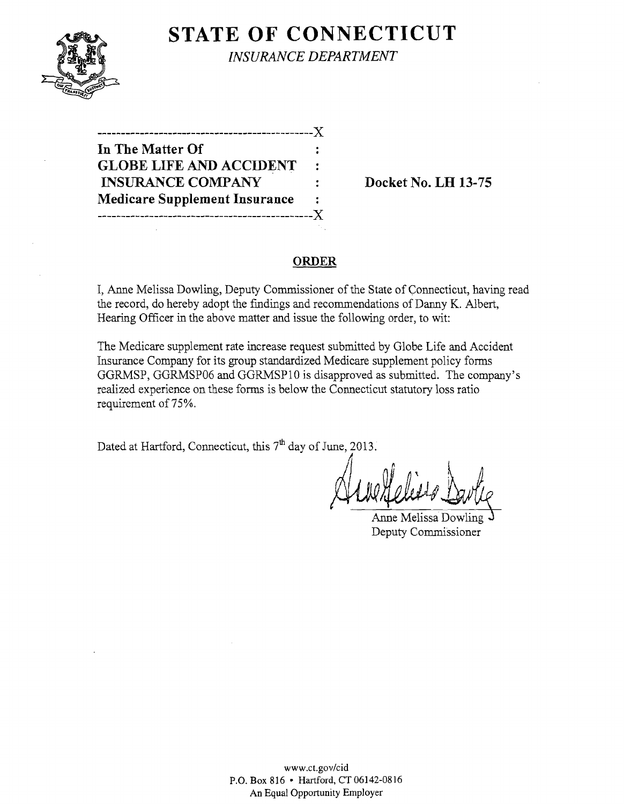## **STATE OF CONNECTICUT**



*INSURANCE DEPARTMENT* 

| ------------------------X            |   |
|--------------------------------------|---|
| In The Matter Of                     |   |
| <b>GLOBE LIFE AND ACCIDENT</b>       | ٠ |
| <b>INSURANCE COMPANY</b>             |   |
| <b>Medicare Supplement Insurance</b> | ٠ |
| ----------------------------X        |   |

**Docket No. LH 13-75** 

#### **ORDER**

I, Anne Melissa Dowling, Deputy Commissioner of the State of Connecticut, having read the record, do hereby adopt the fmdings and recommendations of Danny K. Albert, Hearing Officer in the above matter and issue the following order, to wit:

The Medicare supplement rate increase request submitted by Globe Life and Accident Insurance Company for its group standardized Medicare supplement policy forms GGRMSP, GGRMSP06 and GGRMSP10 is disapproved as submitted. The company's realized experience on these forms is below the Connecticut statutory loss ratio requirement of 75%.

Dated at Hartford, Connecticut, this  $7<sup>th</sup>$  day of June, 2013.

Anne Melissa Dowling Deputy Commissioner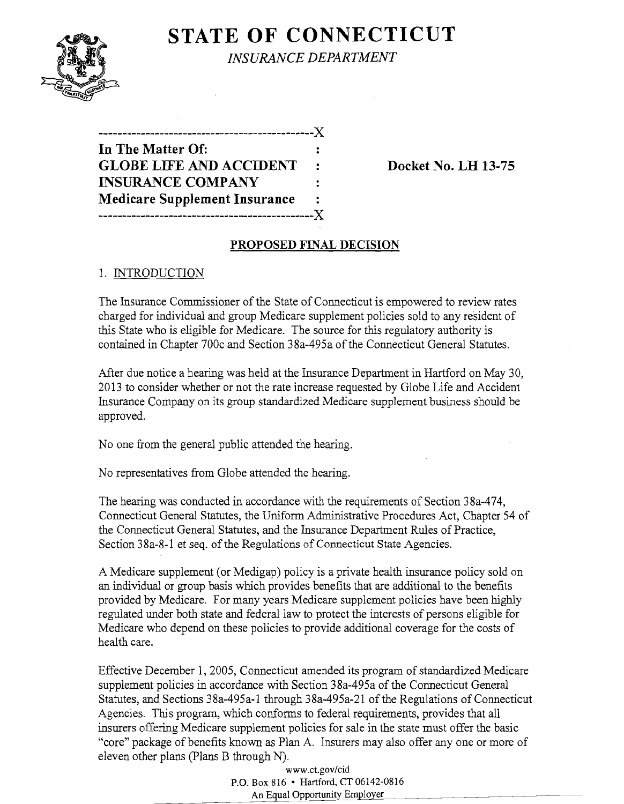# **STATE OF CONNECTICUT**



*INSURANCE DEPARTMENT* 

| ----------------------------X        |                |
|--------------------------------------|----------------|
| In The Matter Of:                    |                |
| <b>GLOBE LIFE AND ACCIDENT</b>       | $\ddot{\cdot}$ |
| <b>INSURANCE COMPANY</b>             | ٠              |
| <b>Medicare Supplement Insurance</b> | ÷              |
| -----------------------              | .X.            |

**Docket No. LH 13-75** 

### **PROPOSED FINAL DECISION**

### 1. INTRODUCTION

The Insurance Commissioner of the State of Connecticut is empowered to review rates charged for individual and group Medicare supplement policies sold to any resident of this State who is eligible for Medicare. The source for this regulatory authority is contained in Chapter 700c and Section 38a-495a of the Connecticut General Statutes.

After due notice a hearing was held at the Insurance Department in Hartford on May 30, 2013 to consider whether or not the rate increase requested by Globe Life and Accident Insurance Company on its group standardized Medicare supplement business should be approved.

No one from the general public attended the hearing.

No representatives from Globe attended the hearing.

The hearing was conducted in accordance with the requirements of Section 38a-474, Connecticut General Statutes, the Uniform Administrative Procedures Act, Chapter 54 of the Connecticut General Statutes, and the Insurance Department Rules of Practice, Section 38a-8-1 et seq. of the Regulations of Connecticut State Agencies.

A Medicare supplement (or Medigap) policy is a private health insurance policy sold on an individual or group basis which provides benefits that are additional to the benefits provided by Medicare. For many years Medicare supplement policies have been highly regulated under both state and federal law to protect the interests of persons eligible for Medicare who depend on these policies to provide additional coverage for the costs of health care.

Effective December 1, 2005, Connecticut amended its program of standardized Medicare supplement policies in accordance with Section 38a-495a of the Connecticut General Statutes, and Sections 38a-495a-1 through 38a-495a-21 of the Regulations of Connecticut Agencies. This program, which conforms to federal requirements, provides that all insurers offering Medicare supplement policies for sale in the state must offer the basic "core" package of benefits known as Plan A. Insurers may also offer any one or more of eleven other plans (plans B through N).

www.ct.gov/cid P.O. Box 816 • Hartford, CT 06142-0816 An Equal Opportunity Employer l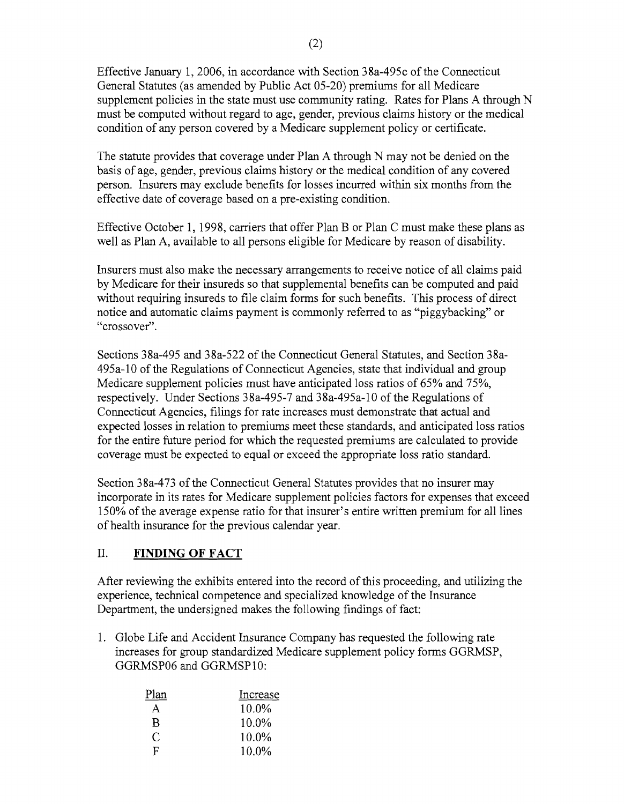Effective January 1,2006, in accordance with Section 38a-495c of the Connecticut General Statutes (as amended by Public Act 05-20) premiums for all Medicare supplement policies in the state must use community rating. Rates for Plans A through N must be computed without regard to age, gender, previous claims history or the medical condition of any person covered by a Medicare supplement policy or certificate.

The statute provides that coverage under Plan A through N may not be denied on the basis of age, gender, previous claims history or the medical condition of any covered person. Insurers may exclude benefits for losses incurred within six months from the effective date of coverage based on a pre-existing condition.

Effective October 1, 1998, carriers that offer Plan B or Plan C must make these plans as well as Plan A, available to all persons eligible for Medicare by reason of disability.

Insurers must also make the necessary arrangements to receive notice of all claims paid by Medicare for their insureds so that supplemental benefits can be computed and paid without requiring insureds to file claim forms for such benefits. This process of direct notice and automatic claims payment is commonly referred to as "piggybacking" or "crossover".

Sections 38a-495 and 38a-522 of the Connecticut General Statutes, and Section 38a-495a-10 of the Regulations of Connecticut Agencies, state that individual and group Medicare supplement policies must have anticipated loss ratios of 65% and 75%, respectively. Under Sections 38a-495-7 and 38a-495a-10 of the Regulations of Connecticut Agencies, filings for rate increases must demonstrate that actual and expected losses in relation to premiums meet these standards, and anticipated loss ratios for the entire future period for which the requested premiums are calculated to provide coverage must be expected to equal or exceed the appropriate loss ratio standard.

Section 38a-473 of the Connecticut General Statutes provides that no insurer may incorporate in its rates for Medicare supplement policies factors for expenses that exceed 150% ofthe average expense ratio for that insurer's entire written premium for all lines of health insurance for the previous calendar year.

## II. **FINDING OF FACT**

After reviewing the exhibits entered into the record of this proceeding, and utilizing the experience, technical competence and specialized knowledge of the Insurance Department, the undersigned makes the following findings of fact:

1. Globe Life and Accident Insurance Company has requested the following rate increases for group standardized Medicare supplement policy forms GGRMSP, GGRMSP06 and GGRMSP10:

| Plan | Increase |
|------|----------|
| A    | 10.0%    |
| B    | 10.0%    |
| C    | 10.0%    |
| F    | 10.0%    |